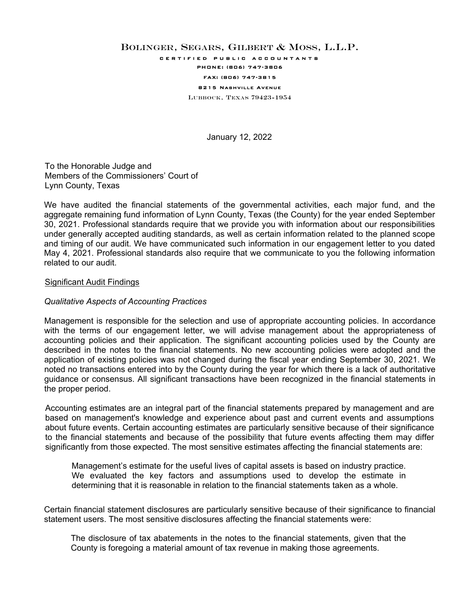# BOLINGER, SEGARS, GILBERT & MOSS, L.L.P.

certified public accountants

# PHONE: (806) 747-3806

#### FAX: (806) 747-3815 8215 Nashville Avenue

LUBBOCK, TEXAS 79423-1954

January 12, 2022

To the Honorable Judge and Members of the Commissioners' Court of Lynn County, Texas

We have audited the financial statements of the governmental activities, each major fund, and the aggregate remaining fund information of Lynn County, Texas (the County) for the year ended September 30, 2021. Professional standards require that we provide you with information about our responsibilities under generally accepted auditing standards, as well as certain information related to the planned scope and timing of our audit. We have communicated such information in our engagement letter to you dated May 4, 2021. Professional standards also require that we communicate to you the following information related to our audit.

#### Significant Audit Findings

#### *Qualitative Aspects of Accounting Practices*

Management is responsible for the selection and use of appropriate accounting policies. In accordance with the terms of our engagement letter, we will advise management about the appropriateness of accounting policies and their application. The significant accounting policies used by the County are described in the notes to the financial statements. No new accounting policies were adopted and the application of existing policies was not changed during the fiscal year ending September 30, 2021. We noted no transactions entered into by the County during the year for which there is a lack of authoritative guidance or consensus. All significant transactions have been recognized in the financial statements in the proper period.

Accounting estimates are an integral part of the financial statements prepared by management and are based on management's knowledge and experience about past and current events and assumptions about future events. Certain accounting estimates are particularly sensitive because of their significance to the financial statements and because of the possibility that future events affecting them may differ significantly from those expected. The most sensitive estimates affecting the financial statements are:

Management's estimate for the useful lives of capital assets is based on industry practice. We evaluated the key factors and assumptions used to develop the estimate in determining that it is reasonable in relation to the financial statements taken as a whole.

Certain financial statement disclosures are particularly sensitive because of their significance to financial statement users. The most sensitive disclosures affecting the financial statements were:

The disclosure of tax abatements in the notes to the financial statements, given that the County is foregoing a material amount of tax revenue in making those agreements.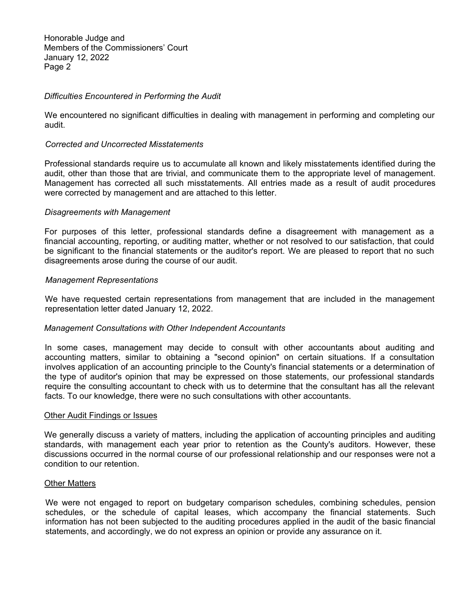Honorable Judge and Members of the Commissioners' Court January 12, 2022 Page 2

## *Difficulties Encountered in Performing the Audit*

We encountered no significant difficulties in dealing with management in performing and completing our audit.

## *Corrected and Uncorrected Misstatements*

Professional standards require us to accumulate all known and likely misstatements identified during the audit, other than those that are trivial, and communicate them to the appropriate level of management. Management has corrected all such misstatements. All entries made as a result of audit procedures were corrected by management and are attached to this letter.

## *Disagreements with Management*

For purposes of this letter, professional standards define a disagreement with management as a financial accounting, reporting, or auditing matter, whether or not resolved to our satisfaction, that could be significant to the financial statements or the auditor's report. We are pleased to report that no such disagreements arose during the course of our audit.

#### *Management Representations*

We have requested certain representations from management that are included in the management representation letter dated January 12, 2022.

#### *Management Consultations with Other Independent Accountants*

In some cases, management may decide to consult with other accountants about auditing and accounting matters, similar to obtaining a "second opinion" on certain situations. If a consultation involves application of an accounting principle to the County's financial statements or a determination of the type of auditor's opinion that may be expressed on those statements, our professional standards require the consulting accountant to check with us to determine that the consultant has all the relevant facts. To our knowledge, there were no such consultations with other accountants.

#### Other Audit Findings or Issues

We generally discuss a variety of matters, including the application of accounting principles and auditing standards, with management each year prior to retention as the County's auditors. However, these discussions occurred in the normal course of our professional relationship and our responses were not a condition to our retention.

#### Other Matters

We were not engaged to report on budgetary comparison schedules, combining schedules, pension schedules, or the schedule of capital leases, which accompany the financial statements. Such information has not been subjected to the auditing procedures applied in the audit of the basic financial statements, and accordingly, we do not express an opinion or provide any assurance on it.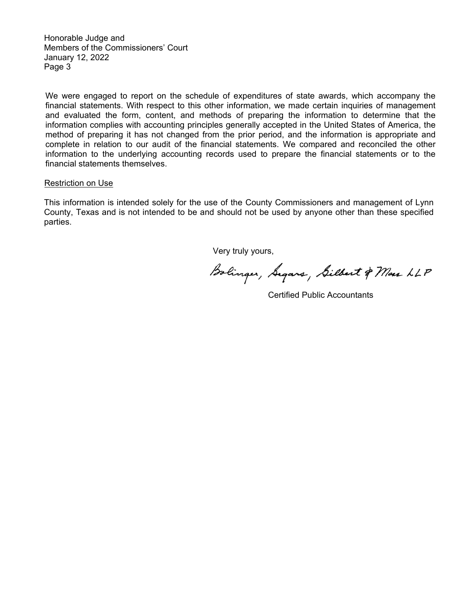Honorable Judge and Members of the Commissioners' Court January 12, 2022 Page 3

We were engaged to report on the schedule of expenditures of state awards, which accompany the financial statements. With respect to this other information, we made certain inquiries of management and evaluated the form, content, and methods of preparing the information to determine that the information complies with accounting principles generally accepted in the United States of America, the method of preparing it has not changed from the prior period, and the information is appropriate and complete in relation to our audit of the financial statements. We compared and reconciled the other information to the underlying accounting records used to prepare the financial statements or to the financial statements themselves.

#### Restriction on Use

This information is intended solely for the use of the County Commissioners and management of Lynn County, Texas and is not intended to be and should not be used by anyone other than these specified parties.

Very truly yours,

Bolinger, Segars, Silbert & Mas LLP

Certified Public Accountants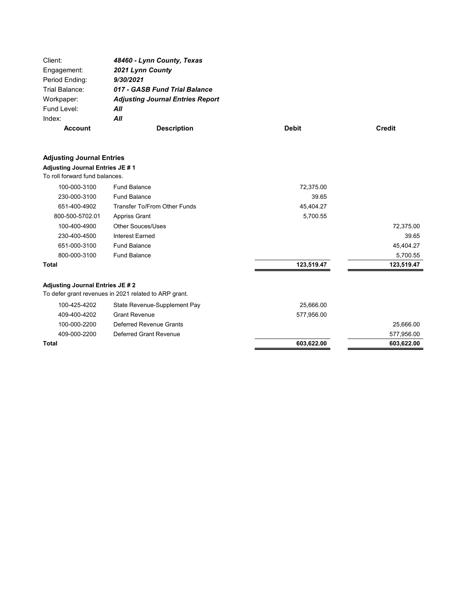| Client:<br>Engagement:<br>Period Ending:<br>Trial Balance:<br>Workpaper:<br>Fund Level:<br>Index: | 48460 - Lynn County, Texas<br>2021 Lynn County<br>9/30/2021<br>017 - GASB Fund Trial Balance<br><b>Adjusting Journal Entries Report</b><br>All<br>All |              |               |
|---------------------------------------------------------------------------------------------------|-------------------------------------------------------------------------------------------------------------------------------------------------------|--------------|---------------|
| <b>Account</b>                                                                                    | <b>Description</b>                                                                                                                                    | <b>Debit</b> | <b>Credit</b> |
|                                                                                                   |                                                                                                                                                       |              |               |
| <b>Adjusting Journal Entries</b>                                                                  |                                                                                                                                                       |              |               |
| Adjusting Journal Entries JE #1                                                                   |                                                                                                                                                       |              |               |
| To roll forward fund balances.                                                                    |                                                                                                                                                       |              |               |
| 100-000-3100                                                                                      | <b>Fund Balance</b>                                                                                                                                   | 72,375.00    |               |
| 230-000-3100                                                                                      | <b>Fund Balance</b>                                                                                                                                   | 39.65        |               |
| 651-400-4902                                                                                      | Transfer To/From Other Funds                                                                                                                          | 45,404.27    |               |
| 800-500-5702.01                                                                                   | <b>Appriss Grant</b>                                                                                                                                  | 5,700.55     |               |
| 100-400-4900                                                                                      | Other Souces/Uses                                                                                                                                     |              | 72,375.00     |
| 230-400-4500                                                                                      | <b>Interest Earned</b>                                                                                                                                |              | 39.65         |
| 651-000-3100                                                                                      | <b>Fund Balance</b>                                                                                                                                   |              | 45,404.27     |
| 800-000-3100                                                                                      | <b>Fund Balance</b>                                                                                                                                   |              | 5,700.55      |
| <b>Total</b>                                                                                      |                                                                                                                                                       | 123,519.47   | 123,519.47    |
| <b>Adjusting Journal Entries JE #2</b>                                                            |                                                                                                                                                       |              |               |
|                                                                                                   | To defer grant revenues in 2021 related to ARP grant.                                                                                                 |              |               |
| 100-425-4202                                                                                      | State Revenue-Supplement Pay                                                                                                                          | 25,666.00    |               |
| 409-400-4202                                                                                      | <b>Grant Revenue</b>                                                                                                                                  | 577,956.00   |               |
| 100-000-2200                                                                                      | Deferred Revenue Grants                                                                                                                               |              | 25,666.00     |
| 409-000-2200                                                                                      | <b>Deferred Grant Revenue</b>                                                                                                                         |              | 577,956.00    |

**Total 603,622.00 603,622.00**